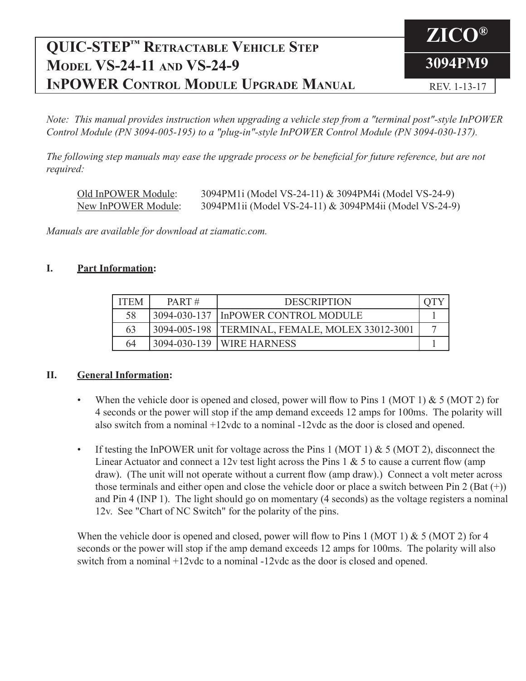### **ZICO® 3094PM9 QUIC-STEP™ Retractable Vehicle Step Model VS-24-11 and VS-24-9 InPOWER Control Module Upgrade Manual** REV. 1-13-17

*Note: This manual provides instruction when upgrading a vehicle step from a "terminal post"-style InPOWER Control Module (PN 3094-005-195) to a "plug-in"-style InPOWER Control Module (PN 3094-030-137).*

*The following step manuals may ease the upgrade process or be beneficial for future reference, but are not required:*

| Old InPOWER Module: | 3094PM1i (Model VS-24-11) & 3094PM4i (Model VS-24-9)   |
|---------------------|--------------------------------------------------------|
| New InPOWER Module: | 3094PM1ii (Model VS-24-11) & 3094PM4ii (Model VS-24-9) |

*Manuals are available for download at ziamatic.com.*

## **I. Part Information:**

| <b>ITEM</b> | $PART \#$ | <b>DESCRIPTION</b>                                |  |
|-------------|-----------|---------------------------------------------------|--|
| 58          |           | 3094-030-137   InPOWER CONTROL MODULE             |  |
| 63          |           | 3094-005-198   TERMINAL, FEMALE, MOLEX 33012-3001 |  |
| 64          |           | 3094-030-139   WIRE HARNESS                       |  |

## **II. General Information:**

- When the vehicle door is opened and closed, power will flow to Pins 1 (MOT 1)  $& 5$  (MOT 2) for 4 seconds or the power will stop if the amp demand exceeds 12 amps for 100ms. The polarity will also switch from a nominal +12vdc to a nominal -12vdc as the door is closed and opened.
- If testing the InPOWER unit for voltage across the Pins 1 (MOT 1)  $& 5$  (MOT 2), disconnect the Linear Actuator and connect a 12v test light across the Pins 1  $&$  5 to cause a current flow (amp draw). (The unit will not operate without a current flow (amp draw).) Connect a volt meter across those terminals and either open and close the vehicle door or place a switch between Pin 2 (Bat  $(+)$ ) and Pin 4 (INP 1). The light should go on momentary (4 seconds) as the voltage registers a nominal 12v. See "Chart of NC Switch" for the polarity of the pins.

When the vehicle door is opened and closed, power will flow to Pins 1 (MOT 1) & 5 (MOT 2) for 4 seconds or the power will stop if the amp demand exceeds 12 amps for 100ms. The polarity will also switch from a nominal +12vdc to a nominal -12vdc as the door is closed and opened.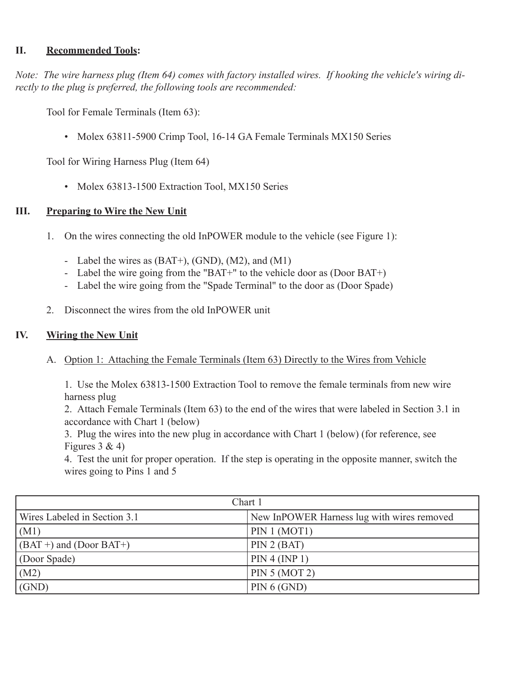## **II. Recommended Tools:**

*Note: The wire harness plug (Item 64) comes with factory installed wires. If hooking the vehicle's wiring directly to the plug is preferred, the following tools are recommended:*

 Tool for Female Terminals (Item 63):

• Molex 63811-5900 Crimp Tool, 16-14 GA Female Terminals MX150 Series

 Tool for Wiring Harness Plug (Item 64)

• Molex 63813-1500 Extraction Tool, MX150 Series

## **III. Preparing to Wire the New Unit**

- 1. On the wires connecting the old InPOWER module to the vehicle (see Figure 1):
	- Label the wires as  $(BAT+), (GND), (M2),$  and  $(M1)$
	- Label the wire going from the "BAT+" to the vehicle door as (Door BAT+)
	- Label the wire going from the "Spade Terminal" to the door as (Door Spade)
- 2. Disconnect the wires from the old InPOWER unit

## **IV. Wiring the New Unit**

 A. Option 1: Attaching the Female Terminals (Item 63) Directly to the Wires from Vehicle

 1. Use the Molex 63813-1500 Extraction Tool to remove the female terminals from new wire harness plug

2. Attach Female Terminals (Item 63) to the end of the wires that were labeled in Section 3.1 in accordance with Chart 1 (below)

 3. Plug the wires into the new plug in accordance with Chart 1 (below) (for reference, see Figures  $3 & 4$ )

 4. Test the unit for proper operation. If the step is operating in the opposite manner, switch the wires going to Pins 1 and 5

| Chart 1                      |                                            |  |  |  |
|------------------------------|--------------------------------------------|--|--|--|
| Wires Labeled in Section 3.1 | New InPOWER Harness lug with wires removed |  |  |  |
| (M1)                         | PIN 1 (MOT1)                               |  |  |  |
| $(BAT+)$ and $(Door BAT+)$   | PIN 2 (BAT)                                |  |  |  |
| (Door Spade)                 | PIN 4 (INP 1)                              |  |  |  |
| (M2)                         | PIN $5 (MOT 2)$                            |  |  |  |
| (GND)                        | PIN 6 (GND)                                |  |  |  |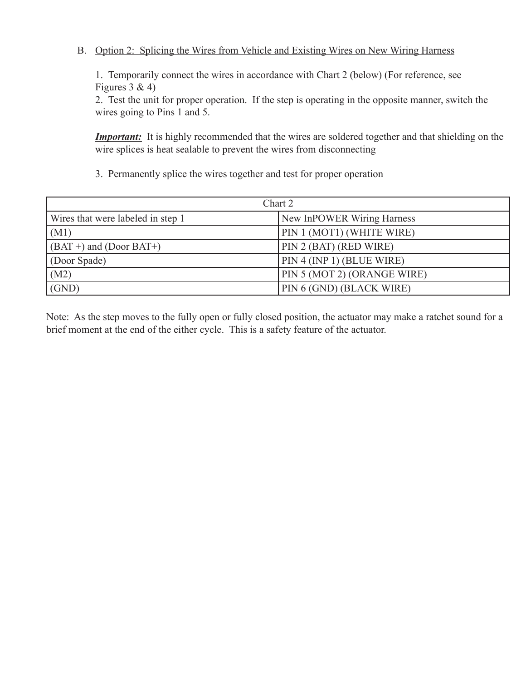## B. Option 2: Splicing the Wires from Vehicle and Existing Wires on New Wiring Harness

1. Temporarily connect the wires in accordance with Chart 2 (below) (For reference, see Figures  $3 & 4$ )

2. Test the unit for proper operation. If the step is operating in the opposite manner, switch the wires going to Pins 1 and 5.

**Important:** It is highly recommended that the wires are soldered together and that shielding on the wire splices is heat sealable to prevent the wires from disconnecting

 3. Permanently splice the wires together and test for proper operation

| Chart 2                           |                             |  |  |
|-----------------------------------|-----------------------------|--|--|
| Wires that were labeled in step 1 | New InPOWER Wiring Harness  |  |  |
| (M1)                              | PIN 1 (MOT1) (WHITE WIRE)   |  |  |
| $(GBAT +)$ and (Door BAT+)        | PIN 2 (BAT) (RED WIRE)      |  |  |
| (Door Spade)                      | PIN 4 (INP 1) (BLUE WIRE)   |  |  |
| (M2)                              | PIN 5 (MOT 2) (ORANGE WIRE) |  |  |
| (GND)                             | PIN 6 (GND) (BLACK WIRE)    |  |  |

Note: As the step moves to the fully open or fully closed position, the actuator may make a ratchet sound for a brief moment at the end of the either cycle. This is a safety feature of the actuator.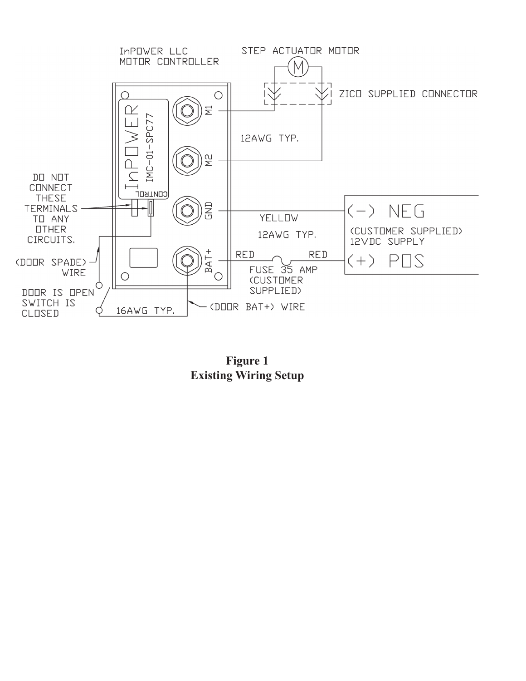

**Figure 1 Existing Wiring Setup**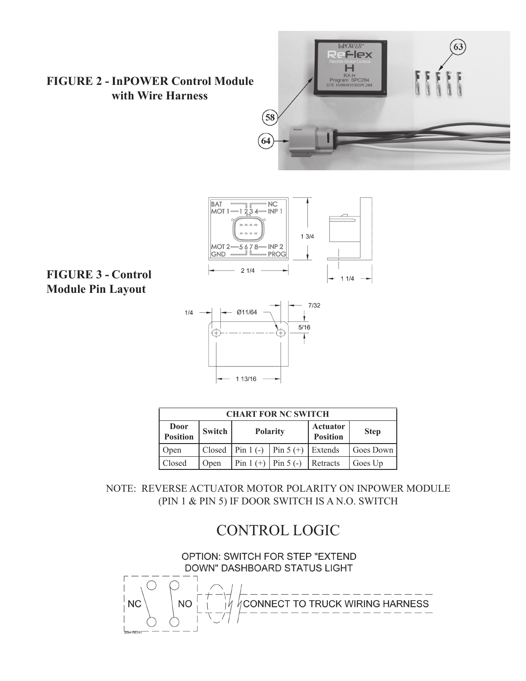## **FIGURE 2 - InPOWER Control Module with Wire Harness**





## **FIGURE 3 - Control Module Pin Layout**



|                         | <b>CHART FOR NC SWITCH</b> |                 |                                          |                             |             |  |
|-------------------------|----------------------------|-----------------|------------------------------------------|-----------------------------|-------------|--|
| Door<br><b>Position</b> | Switch                     | <b>Polarity</b> |                                          | Actuator<br><b>Position</b> | <b>Step</b> |  |
| Open                    |                            |                 | Closed   Pin 1 (-)   Pin 5 (+)   Extends |                             | Goes Down   |  |
| Closed                  | Open                       |                 | Pin 1 $(+)$ Pin 5 $(-)$ Retracts         |                             | Goes Up     |  |

NOTE: REVERSE ACTUATOR MOTOR POLARITY ON INPOWER MODULE (PIN 1 & PIN 5) IF DOOR SWITCH IS A N.O. SWITCH

# CONTROL LOGIC

OPTION: SWITCH FOR STEP "EXTEND DOWN" DASHBOARD STATUS LIGHT CONNECT TO TRUCK WIRING HARNESS **NC NO**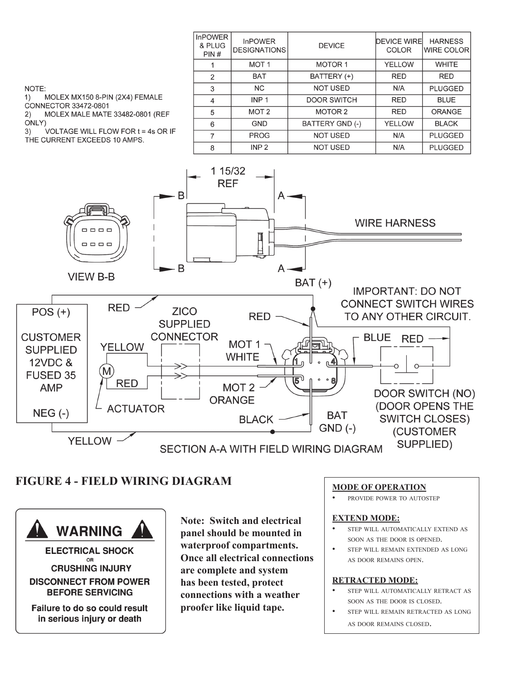| <b>InPOWER</b><br>& PLUG<br>PIN# | <b>InPOWER</b><br><b>DESIGNATIONS</b> | <b>DEVICE</b>      | <b>DEVICE WIRE</b><br><b>COLOR</b> | <b>HARNESS</b><br><b>WIRE COLOR</b> |
|----------------------------------|---------------------------------------|--------------------|------------------------------------|-------------------------------------|
|                                  | <b>MOT1</b>                           | <b>MOTOR 1</b>     | <b>YELLOW</b>                      | <b>WHITE</b>                        |
| 2                                | <b>BAT</b>                            | BATTERY (+)        | <b>RED</b>                         | <b>RED</b>                          |
| 3                                | <b>NC</b>                             | <b>NOT USED</b>    | N/A                                | <b>PLUGGED</b>                      |
| 4                                | INP <sub>1</sub>                      | <b>DOOR SWITCH</b> | <b>RED</b>                         | <b>BLUE</b>                         |
| 5                                | MOT <sub>2</sub>                      | MOTOR <sub>2</sub> | <b>RED</b>                         | <b>ORANGE</b>                       |
| 6                                | <b>GND</b>                            | BATTERY GND (-)    | <b>YELLOW</b>                      | <b>BLACK</b>                        |
| 7                                | <b>PROG</b>                           | <b>NOT USED</b>    | N/A                                | <b>PLUGGED</b>                      |
| 8                                | INP <sub>2</sub>                      | <b>NOT USED</b>    | N/A                                | <b>PLUGGED</b>                      |

NOTE:

MOLEX MX150 8-PIN (2X4) FEMALE  $1)$ CONNECTOR 33472-0801

MOLEX MALE MATE 33482-0801 (REF  $2)$ 

ONLY)

VOLTAGE WILL FLOW FOR t = 4s OR IF  $3)$ 

THE CURRENT EXCEEDS 10 AMPS.



## **FIGURE 4 - FIELD WIRING DIAGRAM MODE OF OPERATION**

**WARNING** 

**ELECTRICAL SHOCK OR CRUSHING INJURY DISCONNECT FROM POWER BEFORE SERVICING** 

Failure to do so could result in serious injury or death

**Note: Switch and electrical panel should be mounted in waterproof compartments. Once all electrical connections are complete and system has been tested, protect connections with a weather proofer like liquid tape.**

PROVIDE POWER TO AUTOSTEP

#### **EXTEND MODE:**

- STEP WILL AUTOMATICALLY EXTEND AS soon as the door is opened.
- STEP WILL REMAIN EXTENDED AS LONG as door remains open.

#### **RETRACTED MODE:**

- STEP WILL AUTOMATICALLY RETRACT AS soon as the door is closed.
- STEP WILL REMAIN RETRACTED AS LONG as door remains closed.